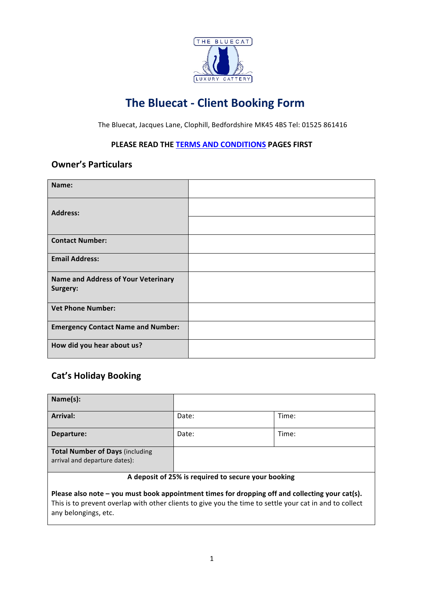

# **The Bluecat - Client Booking Form**

The Bluecat, Jacques Lane, Clophill, Bedfordshire MK45 4BS Tel: 01525 861416

#### **PLEASE READ THE TERMS AND CONDITIONS PAGES FIRST**

### **Owner's Particulars**

| Name:                                                  |  |
|--------------------------------------------------------|--|
| <b>Address:</b>                                        |  |
| <b>Contact Number:</b>                                 |  |
| <b>Email Address:</b>                                  |  |
| <b>Name and Address of Your Veterinary</b><br>Surgery: |  |
| <b>Vet Phone Number:</b>                               |  |
| <b>Emergency Contact Name and Number:</b>              |  |
| How did you hear about us?                             |  |

### **Cat's Holiday Booking**

| Name(s):                                                                |       |       |
|-------------------------------------------------------------------------|-------|-------|
| <b>Arrival:</b>                                                         | Date: | Time: |
| Departure:                                                              | Date: | Time: |
| <b>Total Number of Days (including</b><br>arrival and departure dates): |       |       |

#### A deposit of 25% is required to secure your booking

Please also note – you must book appointment times for dropping off and collecting your cat(s). This is to prevent overlap with other clients to give you the time to settle your cat in and to collect any belongings, etc.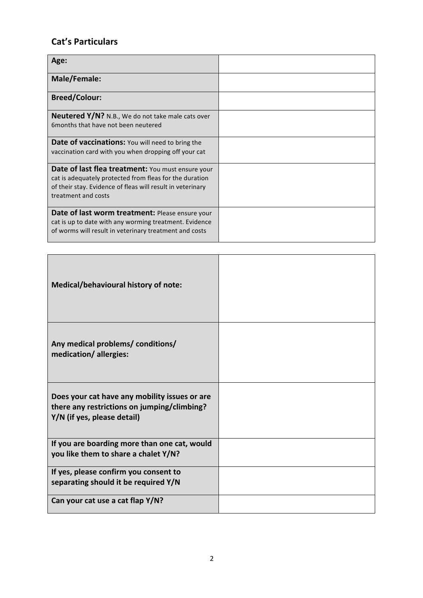# **Cat's Particulars**

| Age:                                                                                                                                                                                                     |  |
|----------------------------------------------------------------------------------------------------------------------------------------------------------------------------------------------------------|--|
| Male/Female:                                                                                                                                                                                             |  |
| <b>Breed/Colour:</b>                                                                                                                                                                                     |  |
| Neutered Y/N? N.B., We do not take male cats over<br>6 months that have not been neutered                                                                                                                |  |
| <b>Date of vaccinations:</b> You will need to bring the<br>vaccination card with you when dropping off your cat                                                                                          |  |
| <b>Date of last flea treatment:</b> You must ensure your<br>cat is adequately protected from fleas for the duration<br>of their stay. Evidence of fleas will result in veterinary<br>treatment and costs |  |
| Date of last worm treatment: Please ensure your<br>cat is up to date with any worming treatment. Evidence<br>of worms will result in veterinary treatment and costs                                      |  |

| Medical/behavioural history of note:                                                                                        |  |
|-----------------------------------------------------------------------------------------------------------------------------|--|
| Any medical problems/ conditions/<br>medication/allergies:                                                                  |  |
| Does your cat have any mobility issues or are<br>there any restrictions on jumping/climbing?<br>Y/N (if yes, please detail) |  |
| If you are boarding more than one cat, would<br>you like them to share a chalet Y/N?                                        |  |
| If yes, please confirm you consent to<br>separating should it be required Y/N                                               |  |
| Can your cat use a cat flap Y/N?                                                                                            |  |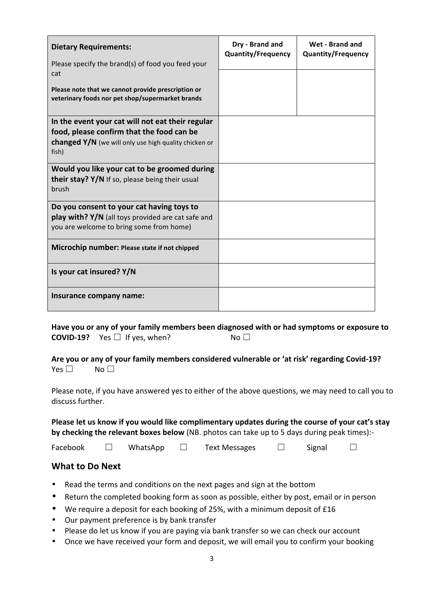| <b>Dietary Requirements:</b>                                                                                                                                    | Dry - Brand and<br><b>Quantity/Frequency</b> | Wet - Brand and<br><b>Quantity/Frequency</b> |
|-----------------------------------------------------------------------------------------------------------------------------------------------------------------|----------------------------------------------|----------------------------------------------|
| Please specify the brand(s) of food you feed your<br>cat                                                                                                        |                                              |                                              |
| Please note that we cannot provide prescription or<br>veterinary foods nor pet shop/supermarket brands                                                          |                                              |                                              |
| In the event your cat will not eat their regular<br>food, please confirm that the food can be<br>changed Y/N (we will only use high quality chicken or<br>fish) |                                              |                                              |
| Would you like your cat to be groomed during<br>their stay? Y/N If so, please being their usual<br>brush                                                        |                                              |                                              |
| Do you consent to your cat having toys to<br><b>play with? <math>Y/N</math></b> (all toys provided are cat safe and<br>you are welcome to bring some from home) |                                              |                                              |
| Microchip number: Please state if not chipped                                                                                                                   |                                              |                                              |
| Is your cat insured? Y/N                                                                                                                                        |                                              |                                              |
| Insurance company name:                                                                                                                                         |                                              |                                              |

Have you or any of your family members been diagnosed with or had symptoms or exposure to **COVID-19?**  $\forall$ es  $\Box$  If yes, when?  $\Box$  No  $\Box$ 

Are you or any of your family members considered vulnerable or 'at risk' regarding Covid-19? Yes □ No □

Please note, if you have answered yes to either of the above questions, we may need to call you to discuss further.

Please let us know if you would like complimentary updates during the course of your cat's stay **by checking the relevant boxes below** (NB. photos can take up to 5 days during peak times):-

Facebook ☐ WhatsApp ☐ Text Messages ☐ Signal ☐

### **What to Do Next**

- Read the terms and conditions on the next pages and sign at the bottom
- Return the completed booking form as soon as possible, either by post, email or in person
- We require a deposit for each booking of 25%, with a minimum deposit of £16
- Our payment preference is by bank transfer
- Please do let us know if you are paying via bank transfer so we can check our account
- Once we have received your form and deposit, we will email you to confirm your booking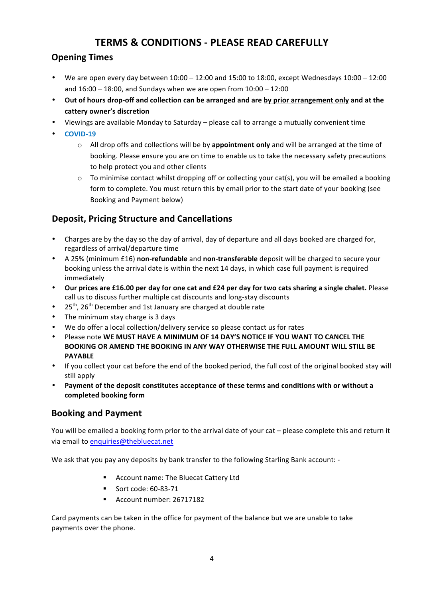# **TERMS & CONDITIONS - PLEASE READ CAREFULLY**

### **Opening Times**

- We are open every day between  $10:00 12:00$  and  $15:00$  to  $18:00$ , except Wednesdays  $10:00 12:00$ and  $16:00 - 18:00$ , and Sundays when we are open from  $10:00 - 12:00$
- Out of hours drop-off and collection can be arranged and are by prior arrangement only and at the **cattery owner's discretion**
- Viewings are available Monday to Saturday please call to arrange a mutually convenient time
- **COVID-19**
	- $\circ$  All drop offs and collections will be by **appointment only** and will be arranged at the time of booking. Please ensure you are on time to enable us to take the necessary safety precautions to help protect you and other clients
	- $\circ$  To minimise contact whilst dropping off or collecting your cat(s), you will be emailed a booking form to complete. You must return this by email prior to the start date of your booking (see Booking and Payment below)

### **Deposit, Pricing Structure and Cancellations**

- Charges are by the day so the day of arrival, day of departure and all days booked are charged for, regardless of arrival/departure time
- A 25% (minimum £16) **non-refundable** and **non-transferable** deposit will be charged to secure your booking unless the arrival date is within the next 14 days, in which case full payment is required immediately
- Our prices are £16.00 per day for one cat and £24 per day for two cats sharing a single chalet. Please call us to discuss further multiple cat discounts and long-stay discounts
- 25<sup>th</sup>, 26<sup>th</sup> December and 1st January are charged at double rate
- The minimum stay charge is 3 days
- We do offer a local collection/delivery service so please contact us for rates
- Please note WE MUST HAVE A MINIMUM OF 14 DAY'S NOTICE IF YOU WANT TO CANCEL THE BOOKING OR AMEND THE BOOKING IN ANY WAY OTHERWISE THE FULL AMOUNT WILL STILL BE **PAYABLE**
- If you collect your cat before the end of the booked period, the full cost of the original booked stay will still apply
- Payment of the deposit constitutes acceptance of these terms and conditions with or without a **completed booking form**

### **Booking and Payment**

You will be emailed a booking form prior to the arrival date of your cat – please complete this and return it via email to enquiries@thebluecat.net

We ask that you pay any deposits by bank transfer to the following Starling Bank account: -

- **EXECOUNT HAME:** The Bluecat Cattery Ltd
- **Sort code: 60-83-71**
- Account number: 26717182

Card payments can be taken in the office for payment of the balance but we are unable to take payments over the phone.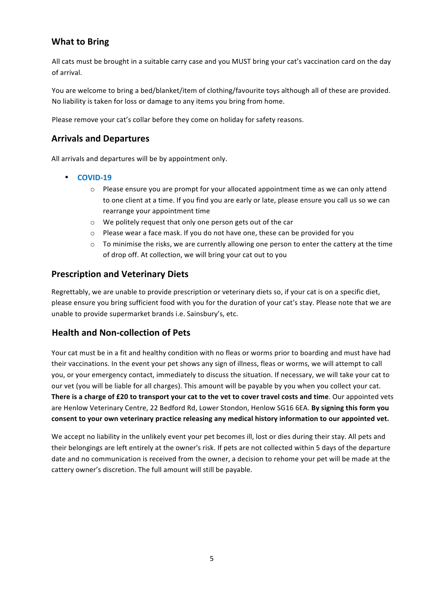### **What to Bring**

All cats must be brought in a suitable carry case and you MUST bring your cat's vaccination card on the day of arrival.

You are welcome to bring a bed/blanket/item of clothing/favourite toys although all of these are provided. No liability is taken for loss or damage to any items you bring from home.

Please remove your cat's collar before they come on holiday for safety reasons.

### **Arrivals and Departures**

All arrivals and departures will be by appointment only.

- **COVID-19**
	- $\circ$  Please ensure you are prompt for your allocated appointment time as we can only attend to one client at a time. If you find you are early or late, please ensure you call us so we can rearrange your appointment time
	- $\circ$  We politely request that only one person gets out of the car
	- $\circ$  Please wear a face mask. If you do not have one, these can be provided for you
	- $\circ$  To minimise the risks, we are currently allowing one person to enter the cattery at the time of drop off. At collection, we will bring your cat out to you

#### **Prescription and Veterinary Diets**

Regrettably, we are unable to provide prescription or veterinary diets so, if your cat is on a specific diet, please ensure you bring sufficient food with you for the duration of your cat's stay. Please note that we are unable to provide supermarket brands i.e. Sainsbury's, etc.

#### **Health and Non-collection of Pets**

Your cat must be in a fit and healthy condition with no fleas or worms prior to boarding and must have had their vaccinations. In the event your pet shows any sign of illness, fleas or worms, we will attempt to call you, or your emergency contact, immediately to discuss the situation. If necessary, we will take your cat to our vet (you will be liable for all charges). This amount will be payable by you when you collect your cat. **There is a charge of £20 to transport your cat to the vet to cover travel costs and time**. Our appointed vets are Henlow Veterinary Centre, 22 Bedford Rd, Lower Stondon, Henlow SG16 6EA. By signing this form you consent to your own veterinary practice releasing any medical history information to our appointed vet.

We accept no liability in the unlikely event your pet becomes ill, lost or dies during their stay. All pets and their belongings are left entirely at the owner's risk. If pets are not collected within 5 days of the departure date and no communication is received from the owner, a decision to rehome your pet will be made at the cattery owner's discretion. The full amount will still be payable.